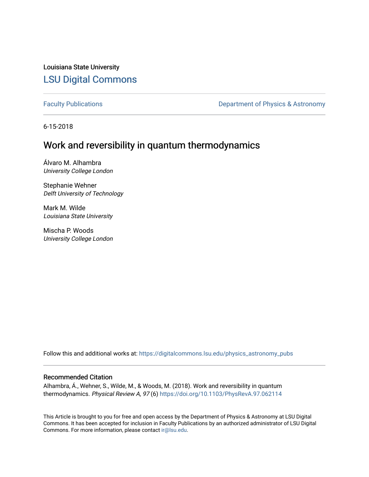Louisiana State University [LSU Digital Commons](https://digitalcommons.lsu.edu/)

[Faculty Publications](https://digitalcommons.lsu.edu/physics_astronomy_pubs) **Exercise 2 and Table 2 and Table 2 and Table 2 and Table 2 and Table 2 and Table 2 and Table 2 and Table 2 and Table 2 and Table 2 and Table 2 and Table 2 and Table 2 and Table 2 and Table 2 and Table** 

6-15-2018

### Work and reversibility in quantum thermodynamics

Álvaro M. Alhambra University College London

Stephanie Wehner Delft University of Technology

Mark M. Wilde Louisiana State University

Mischa P. Woods University College London

Follow this and additional works at: [https://digitalcommons.lsu.edu/physics\\_astronomy\\_pubs](https://digitalcommons.lsu.edu/physics_astronomy_pubs?utm_source=digitalcommons.lsu.edu%2Fphysics_astronomy_pubs%2F5637&utm_medium=PDF&utm_campaign=PDFCoverPages) 

#### Recommended Citation

Alhambra, Á., Wehner, S., Wilde, M., & Woods, M. (2018). Work and reversibility in quantum thermodynamics. Physical Review A, 97 (6)<https://doi.org/10.1103/PhysRevA.97.062114>

This Article is brought to you for free and open access by the Department of Physics & Astronomy at LSU Digital Commons. It has been accepted for inclusion in Faculty Publications by an authorized administrator of LSU Digital Commons. For more information, please contact [ir@lsu.edu](mailto:ir@lsu.edu).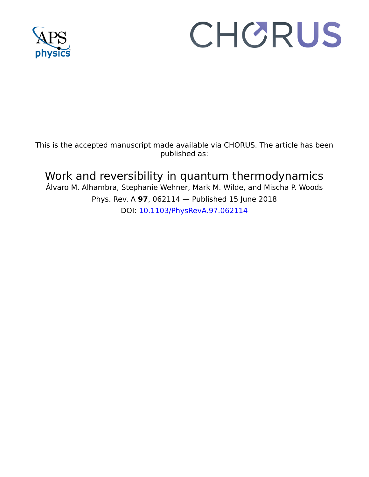

# CHORUS

This is the accepted manuscript made available via CHORUS. The article has been published as:

## Work and reversibility in quantum thermodynamics

Álvaro M. Alhambra, Stephanie Wehner, Mark M. Wilde, and Mischa P. Woods Phys. Rev. A **97**, 062114 — Published 15 June 2018 DOI: [10.1103/PhysRevA.97.062114](http://dx.doi.org/10.1103/PhysRevA.97.062114)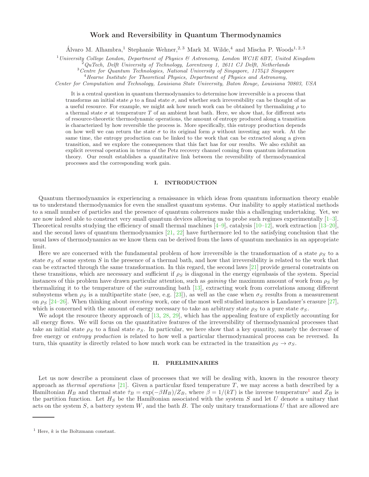#### Work and Reversibility in Quantum Thermodynamics

Álvaro M. Alhambra,<sup>1</sup> Stephanie Wehner,<sup>2, 3</sup> Mark M. Wilde,<sup>4</sup> and Mischa P. Woods<sup>1,2,3</sup>

<sup>1</sup>*University College London, Department of Physics & Astronomy, London WC1E 6BT, United Kingdom*

<sup>2</sup>*QuTech, Delft University of Technology, Lorentzweg 1, 2611 CJ Delft, Netherlands*

<sup>3</sup>*Centre for Quantum Technologies, National University of Singapore, 117543 Singapore*

<sup>4</sup>*Hearne Institute for Theoretical Physics, Department of Physics and Astronomy,*

*Center for Computation and Technology, Louisiana State University, Baton Rouge, Louisiana 70803, USA*

It is a central question in quantum thermodynamics to determine how irreversible is a process that transforms an initial state  $\rho$  to a final state  $\sigma$ , and whether such irreversibility can be thought of as a useful resource. For example, we might ask how much work can be obtained by thermalizing  $\rho$  to a thermal state  $\sigma$  at temperature T of an ambient heat bath. Here, we show that, for different sets of resource-theoretic thermodynamic operations, the amount of entropy produced along a transition is characterized by how reversible the process is. More specifically, this entropy production depends on how well we can return the state  $\sigma$  to its original form  $\rho$  without investing any work. At the same time, the entropy production can be linked to the work that can be extracted along a given transition, and we explore the consequences that this fact has for our results. We also exhibit an explicit reversal operation in terms of the Petz recovery channel coming from quantum information theory. Our result establishes a quantitative link between the reversibility of thermodynamical processes and the corresponding work gain.

#### I. INTRODUCTION

Quantum thermodynamics is experiencing a renaissance in which ideas from quantum information theory enable us to understand thermodynamics for even the smallest quantum systems. Our inability to apply statistical methods to a small number of particles and the presence of quantum coherences make this a challenging undertaking. Yet, we are now indeed able to construct very small quantum devices allowing us to probe such regimes experimentally  $[1-3]$ . Theoretical results studying the efficiency of small thermal machines  $[4-9]$ , catalysis  $[10-12]$ , work extraction  $[13-20]$ , and the second laws of quantum thermodynamics [\[21](#page-14-5), [22](#page-14-6)] have furthermore led to the satisfying conclusion that the usual laws of thermodynamics as we know them can be derived from the laws of quantum mechanics in an appropriate limit.

Here we are concerned with the fundamental problem of how irreversible is the transformation of a state  $\rho_S$  to a state  $\sigma_S$  of some system S in the presence of a thermal bath, and how that irreversibility is related to the work that can be extracted through the same transformation. In this regard, the second laws [\[21\]](#page-14-5) provide general constraints on these transitions, which are necessary and sufficient if  $\rho_s$  is diagonal in the energy eigenbasis of the system. Special instances of this problem have drawn particular attention, such as *gaining* the maximum amount of work from  $\rho_S$  by thermalizing it to the temperature of the surrounding bath [\[13\]](#page-14-3), extracting work from correlations among different subsystems when  $\rho_S$  is a multipartite state (see, e.g. [\[23](#page-14-7)]), as well as the case when  $\sigma_S$  results from a measurement on  $\rho_s$  [\[24](#page-14-8)[–26\]](#page-14-9). When thinking about *investing* work, one of the most well studied instances is Landauer's erasure [\[27\]](#page-14-10), which is concerned with the amount of energy necessary to take an arbitrary state  $\rho_S$  to a pure state  $\sigma_S$ .

We adopt the resource theory approach of [\[13](#page-14-3), [28,](#page-14-11) [29\]](#page-14-12), which has the appealing feature of explictly accounting for all energy flows. We will focus on the quantitative features of the irreversibility of thermodynamical processes that take an initial state  $\rho_S$  to a final state  $\sigma_S$ . In particular, we here show that a key quantity, namely the decrease of free energy or *entropy production* is related to how well a particular thermodynamical process can be reversed. In turn, this quantity is directly related to how much work can be extracted in the transition  $\rho_S \to \sigma_S$ .

#### <span id="page-2-1"></span>II. PRELIMINARIES

Let us now describe a prominent class of processes that we will be dealing with, known in the resource theory approach as thermal operations [\[21](#page-14-5)]. Given a particular fixed temperature  $T$ , we may access a bath described by a Hamiltonian  $H_B$  and thermal state  $\hat{\tau}_B = \exp(-\beta H_B)/Z_B$ , where  $\beta = 1/(kT)$  $\beta = 1/(kT)$  $\beta = 1/(kT)$  is the inverse temperature<sup>1</sup> and  $Z_B$  is the partition function. Let  $H<sub>S</sub>$  be the Hamiltonian associated with the system S and let U denote a unitary that acts on the system  $S$ , a battery system  $W$ , and the bath  $B$ . The only unitary transformations  $U$  that are allowed are

<span id="page-2-0"></span><sup>&</sup>lt;sup>1</sup> Here,  $k$  is the Boltzmann constant.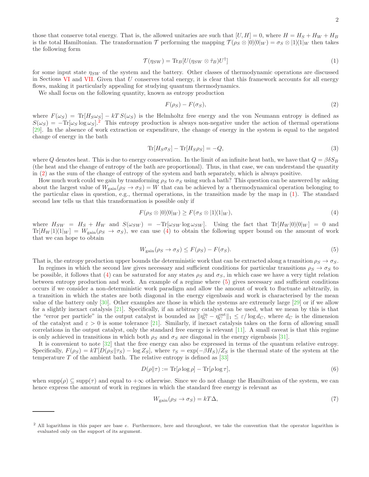those that conserve total energy. That is, the allowed unitaries are such that  $[U, H] = 0$ , where  $H = H<sub>S</sub> + H<sub>W</sub> + H<sub>B</sub>$ is the total Hamiltonian. The transformation T performing the mapping  $\mathcal{T}(\rho_S \otimes |0\rangle\langle 0|_W) = \sigma_S \otimes |1\rangle\langle 1|_W$  then takes the following form

<span id="page-3-2"></span>
$$
\mathcal{T}(\eta_{SW}) = \text{Tr}_B[U(\eta_{SW} \otimes \hat{\tau}_B)U^{\dagger}] \tag{1}
$$

for some input state  $\eta_{SW}$  of the system and the battery. Other classes of thermodynamic operations are discussed in Sections [VI](#page-9-0) and [VII.](#page-12-0) Given that  $U$  conserves total energy, it is clear that this framework accounts for all energy flows, making it particularly appealing for studying quantum thermodynamics.

We shall focus on the following quantity, known as entropy production

<span id="page-3-1"></span>
$$
F(\rho_S) - F(\sigma_S),\tag{2}
$$

where  $F(\omega_S) = \text{Tr}[H_S\omega_S] - kTS(\omega_S)$  is the Helmholtz free energy and the von Neumann entropy is defined as  $S(\omega_S) = -\text{Tr}[\omega_S \log \omega_S]^2$  $S(\omega_S) = -\text{Tr}[\omega_S \log \omega_S]^2$  This entropy production is always non-negative under the action of thermal operations [\[29\]](#page-14-12). In the absence of work extraction or expenditure, the change of energy in the system is equal to the negated change of energy in the bath

$$
\text{Tr}[H_S \sigma_S] - \text{Tr}[H_S \rho_S] = -Q,\tag{3}
$$

where Q denotes heat. This is due to energy conservation. In the limit of an infinite heat bath, we have that  $Q = \beta \delta S_B$ (the heat and the change of entropy of the bath are proportional). Thus, in that case, we can understand the quantity in [\(2\)](#page-3-1) as the sum of the change of entropy of the system and bath separately, which is always positive.

How much work could we gain by transforming  $\rho_S$  to  $\sigma_S$  using such a bath? This question can be answered by asking about the largest value of  $W_{\text{gain}}(\rho_S \to \sigma_S) = W$  that can be achieved by a thermodynamical operation belonging to the particular class in question, e.g., thermal operations, in the transition made by the map in [\(1\)](#page-3-2). The standard second law tells us that this transformation is possible only if

<span id="page-3-3"></span>
$$
F(\rho_S \otimes |0\rangle\langle 0|_W) \ge F(\sigma_S \otimes |1\rangle\langle 1|_W),\tag{4}
$$

where  $H_{SW} = H_S + H_W$  and  $S(\omega_{SW}) = -\text{Tr}[\omega_{SW} \log \omega_{SW}]$ . Using the fact that  $\text{Tr}[H_W |0\rangle\langle0|_W] = 0$  and  $Tr[H_W|1\rangle\langle1|_W] = W_{\text{gain}}(\rho_S \to \sigma_S)$ , we can use [\(4\)](#page-3-3) to obtain the following upper bound on the amount of work that we can hope to obtain

<span id="page-3-4"></span>
$$
W_{\text{gain}}(\rho_S \to \sigma_S) \le F(\rho_S) - F(\sigma_S). \tag{5}
$$

That is, the entropy production upper bounds the deterministic work that can be extracted along a transition  $\rho_S \to \sigma_S$ .

In regimes in which the second law gives necessary and sufficient conditions for particular transitions  $\rho_S \to \sigma_S$  to be possible, it follows that [\(4\)](#page-3-3) can be saturated for any states  $\rho_S$  and  $\sigma_S$ , in which case we have a very tight relation between entropy production and work. An example of a regime where [\(5\)](#page-3-4) gives necessary and sufficient conditions occurs if we consider a non-deterministic work paradigm and allow the amount of work to fluctuate arbitrarily, in a transition in which the states are both diagonal in the energy eigenbasis and work is characterised by the mean value of the battery only [\[30](#page-14-13)]. Other examples are those in which the systems are extremely large [\[29\]](#page-14-12) or if we allow for a slightly inexact catalysis [\[21](#page-14-5)]. Specifically, if an arbitrary catalyst can be used, what we mean by this is that the "error per particle" in the output catalyst is bounded as  $\|\eta_C^{\text{in}} - \eta_C^{\text{out}}\|_1 \leq \varepsilon/\log d_C$ , where  $d_C$  is the dimension of the catalyst and  $\varepsilon > 0$  is some tolerance [\[21\]](#page-14-5). Similarly, if inexact catalysis takes on the form of allowing small correlations in the output catalyst, only the standard free energy is relevant [\[11](#page-14-14)]. A small caveat is that this regime is only achieved in transitions in which both  $\rho_S$  and  $\sigma_S$  are diagonal in the energy eigenbasis [\[31](#page-14-15)].

It is convenient to note [\[32](#page-14-16)] that the free energy can also be expressed in terms of the quantum relative entropy. Specifically,  $F(\rho_S) = kT[D(\rho_S||\tau_S) - \log Z_S]$ , where  $\tau_S = \exp(-\beta H_S)/Z_S$  is the thermal state of the system at the temperature  $T$  of the ambient bath. The relative entropy is defined as  $[33]$ 

$$
D(\rho||\tau) := \text{Tr}[\rho \log \rho] - \text{Tr}[\rho \log \tau],\tag{6}
$$

when  $supp(\rho) \subseteq supp(\tau)$  and equal to  $+\infty$  otherwise. Since we do not change the Hamiltonian of the system, we can hence express the amount of work in regimes in which the standard free energy is relevant as

<span id="page-3-5"></span>
$$
W_{\text{gain}}(\rho_S \to \sigma_S) = kT\Delta,\tag{7}
$$

<span id="page-3-0"></span><sup>&</sup>lt;sup>2</sup> All logarithms in this paper are base e. Furthermore, here and throughout, we take the convention that the operator logarithm is evaluated only on the support of its argument.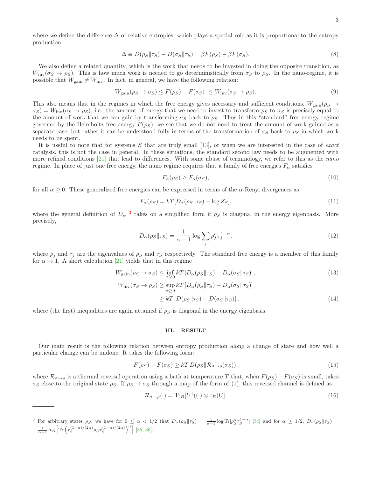where we define the difference  $\Delta$  of relative entropies, which plays a special role as it is proportional to the entropy production

$$
\Delta \equiv D(\rho_S || \tau_S) - D(\sigma_S || \tau_S) = \beta F(\rho_S) - \beta F(\sigma_S). \tag{8}
$$

We also define a related quantity, which is the work that needs to be invested in doing the opposite transition, as  $W_{\text{inv}}(\sigma_S \to \rho_S)$ . This is how much work is needed to go deterministically from  $\sigma_S$  to  $\rho_S$ . In the nano-regime, it is possible that  $W_{\text{gain}} \neq W_{\text{inv}}$ . In fact, in general, we have the following relation:

$$
W_{\text{gain}}(\rho_S \to \sigma_S) \le F(\rho_S) - F(\sigma_S) \le W_{\text{inv}}(\sigma_S \to \rho_S). \tag{9}
$$

This also means that in the regimes in which the free energy gives necessary and sufficient conditions,  $W_{\text{gain}}(\rho_S \to$  $\sigma_S$ ) =  $W_{\text{inv}}(\sigma_S \to \rho_S)$ ; i.e., the amount of energy that we need to invest to transform  $\rho_S$  to  $\sigma_S$  is precisely equal to the amount of work that we can gain by transforming  $\sigma_S$  back to  $\rho_S$ . Thus in this "standard" free energy regime governed by the Helmholtz free energy  $F(\rho_S)$ , we see that we do not need to treat the amount of work gained as a separate case, but rather it can be understood fully in terms of the transformation of  $\sigma_S$  back to  $\rho_S$  in which work needs to be spent.

It is useful to note that for systems  $S$  that are truly small [\[13](#page-14-3)], or when we are interested in the case of *exact* catalysis, this is not the case in general. In these situations, the standard second law needs to be augmented with more refined conditions [\[21\]](#page-14-5) that lead to differences. With some abuse of terminology, we refer to this as the nano regime. In place of just one free energy, the nano regime requires that a family of free energies  $F_{\alpha}$  satisfies

$$
F_{\alpha}(\rho_S) \ge F_{\alpha}(\sigma_S),\tag{10}
$$

for all  $\alpha \geq 0$ . These generalized free energies can be expressed in terms of the  $\alpha$ -Rényi divergences as

$$
F_{\alpha}(\rho_S) = kT[D_{\alpha}(\rho_S || \tau_S) - \log Z_S],\tag{11}
$$

where the general definition of  $D_{\alpha}$ <sup>[3](#page-4-0)</sup> takes on a simplified form if  $\rho_S$  is diagonal in the energy eigenbasis. More precisely,

$$
D_{\alpha}(\rho_S || \tau_S) = \frac{1}{\alpha - 1} \log \sum_j \rho_j^{\alpha} \tau_j^{1 - \alpha},\tag{12}
$$

where  $\rho_i$  and  $\tau_j$  are the eigenvalues of  $\rho_s$  and  $\tau_s$  respectively. The standard free energy is a member of this family for  $\alpha \to 1$ . A short calculation [\[21\]](#page-14-5) yields that in this regime

$$
W_{\text{gain}}(\rho_S \to \sigma_S) \leq \inf_{\alpha \geq 0} kT \left[ D_{\alpha}(\rho_S || \tau_S) - D_{\alpha}(\sigma_S || \tau_S) \right],
$$
\n
$$
W_{\text{inv}}(\sigma_S \to \rho_S) \geq \sup_{\alpha \geq 0} kT \left[ D_{\alpha}(\rho_S || \tau_S) - D_{\alpha}(\sigma_S || \tau_S) \right]
$$
\n
$$
\geq kT \left[ D(\rho_S || \tau_S) - D(\sigma_S || \tau_S) \right],
$$
\n(14)

where (the first) inequalities are again attained if  $\rho_S$  is diagonal in the energy eigenbasis.

#### <span id="page-4-3"></span><span id="page-4-2"></span>III. RESULT

Our main result is the following relation between entropy production along a change of state and how well a particular change can be undone. It takes the following form:

<span id="page-4-1"></span>
$$
F(\rho_S) - F(\sigma_S) \ge kT D(\rho_S || \mathcal{R}_{\sigma \to \rho}(\sigma_S)),
$$
\n(15)

where  $\mathcal{R}_{\sigma\to\rho}$  is a thermal reversal operation using a bath at temperature T that, when  $F(\rho_S) - F(\sigma_S)$  is small, takes  $\sigma_S$  close to the original state  $\rho_S$ . If  $\rho_S \to \sigma_S$  through a map of the form of [\(1\)](#page-3-2), this reversed channel is defined as

$$
\mathcal{R}_{\sigma \to \rho}(\cdot) = \text{Tr}_B[U^{\dagger}((\cdot) \otimes \tau_B)U]. \tag{16}
$$

<span id="page-4-0"></span><sup>&</sup>lt;sup>3</sup> For arbitrary states  $\rho_S$ , we have for  $0 \leq \alpha < 1/2$  that  $D_\alpha(\rho_S || \tau_S) = \frac{1}{\alpha - 1} \log Tr[\rho_S^\alpha \tau_S^{1-\alpha}]$  [\[34\]](#page-14-18) and for  $\alpha \geq 1/2$ ,  $D_\alpha(\rho_S || \tau_S)$  $\frac{1}{\alpha-1} \log \left[ \text{Tr} \left( \tau_S^{(1-\alpha)/(2\alpha)} \rho_S \tau_S^{(1-\alpha)/(2\alpha)} \right)^{\alpha} \right]$  [\[35](#page-14-19), [36\]](#page-14-20).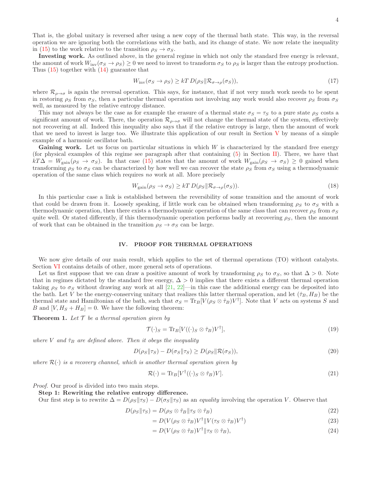That is, the global unitary is reversed after using a new copy of the thermal bath state. This way, in the reversal operation we are ignoring both the correlations with the bath, and its change of state. We now relate the inequality in [\(15\)](#page-4-1) to the work relative to the transition  $\rho_S \rightarrow \sigma_S$ .

Investing work. As outlined above, in the general regime in which not only the standard free energy is relevant, the amount of work  $W_{\text{inv}}(\sigma_S \to \rho_S) \geq 0$  we need to invest to transform  $\sigma_S$  to  $\rho_S$  is larger than the entropy production. Thus [\(15\)](#page-4-1) together with [\(14\)](#page-4-2) guarantee that

<span id="page-5-0"></span>
$$
W_{\text{inv}}(\sigma_S \to \rho_S) \ge kT D(\rho_S \| \mathcal{R}_{\sigma \to \rho}(\sigma_S)),\tag{17}
$$

where  $\mathcal{R}_{\rho\to\sigma}$  is again the reversal operation. This says, for instance, that if not very much work needs to be spent in restoring  $\rho_S$  from  $\sigma_S$ , then a particular thermal operation not involving any work would also recover  $\rho_S$  from  $\sigma_S$ well, as measured by the relative entropy distance.

This may not always be the case as for example the erasure of a thermal state  $\sigma_S = \tau_S$  to a pure state  $\rho_S$  costs a significant amount of work. There, the operation  $\mathcal{R}_{\rho\to\sigma}$  will not change the thermal state of the system, effectively not recovering at all. Indeed this inequality also says that if the relative entropy is large, then the amount of work that we need to invest is large too. We illustrate this application of our result in Section  $V$  by means of a simple example of a harmonic oscillator bath.

**Gaining work.** Let us focus on particular situations in which  $W$  is characterized by the standard free energy (for physical examples of this regime see paragraph after that containing  $(5)$  in Section [II\)](#page-2-1). There, we have that  $kT\Delta = W_{\text{gain}}(\rho_S \to \sigma_S)$ . In that case [\(15\)](#page-4-1) states that the amount of work  $W_{\text{gain}}(\rho_S \to \sigma_S) \geq 0$  gained when transforming  $\rho_S$  to  $\sigma_S$  can be characterized by how well we can recover the state  $\rho_S$  from  $\sigma_S$  using a thermodynamic operation of the same class which requires no work at all. More precisely

$$
W_{\text{gain}}(\rho_S \to \sigma_S) \ge kT D(\rho_S \| \mathcal{R}_{\sigma \to \rho}(\sigma_S)). \tag{18}
$$

In this particular case a link is established between the reversibility of some transition and the amount of work that could be drawn from it. Loosely speaking, if little work can be obtained when transforming  $\rho_S$  to  $\sigma_S$  with a thermodynamic operation, then there exists a thermodynamic operation of the same class that can recover  $\rho_S$  from  $\sigma_S$ quite well. Or stated differently, if this thermodynamic operation performs badly at recovering  $\rho_S$ , then the amount of work that can be obtained in the transition  $\rho_S \to \sigma_S$  can be large.

#### <span id="page-5-1"></span>IV. PROOF FOR THERMAL OPERATIONS

We now give details of our main result, which applies to the set of thermal operations (TO) without catalysts. Section [VI](#page-9-0) contains details of other, more general sets of operations.

Let us first suppose that we can draw a positive amount of work by transforming  $\rho_S$  to  $\sigma_S$ , so that  $\Delta > 0$ . Note that in regimes dictated by the standard free energy,  $\Delta > 0$  implies that there exists a different thermal operation taking  $\rho_S$  to  $\sigma_S$  without drawing any work at all [\[21](#page-14-5), [22\]](#page-14-6)—in this case the additional energy can be deposited into the bath. Let V be the energy-conserving unitary that realizes this latter thermal operation, and let  $(\hat{\tau}_B, H_B)$  be the thermal state and Hamiltonian of the bath, such that  $\sigma_S = \text{Tr}_B[V(\rho_S \otimes \hat{\tau}_B)V^{\dagger}]$ . Note that V acts on systems S and B and  $[V, H<sub>S</sub> + H<sub>B</sub>] = 0$ . We have the following theorem:

<span id="page-5-2"></span>**Theorem 1.** Let  $\mathcal T$  be a thermal operation given by

$$
\mathcal{T}(\cdot)_S = \text{Tr}_B[V((\cdot)_S \otimes \hat{\tau}_B)V^\dagger],\tag{19}
$$

where V and  $\hat{\tau}_B$  are defined above. Then it obeys the inequality

<span id="page-5-3"></span>
$$
D(\rho_S || \tau_S) - D(\sigma_S || \tau_S) \ge D(\rho_S || \mathcal{R}(\sigma_S)),\tag{20}
$$

where  $\mathcal{R}(\cdot)$  is a recovery channel, which is another thermal operation given by

$$
\mathcal{R}(\cdot) = \text{Tr}_B[V^{\dagger}((\cdot)_S \otimes \hat{\tau}_B)V]. \tag{21}
$$

Proof. Our proof is divided into two main steps.

#### Step 1: Rewriting the relative entropy difference.

Our first step is to rewrite  $\Delta = D(\rho_S||\tau_S) - D(\sigma_S||\tau_S)$  as an *equality* involving the operation V. Observe that

$$
D(\rho_S || \tau_S) = D(\rho_S \otimes \hat{\tau}_B || \tau_S \otimes \hat{\tau}_B)
$$
\n(22)

$$
= D(V(\rho_S \otimes \hat{\tau}_B)V^{\dagger} || V(\tau_S \otimes \hat{\tau}_B)V^{\dagger})
$$
\n(23)

$$
= D(V(\rho_S \otimes \hat{\tau}_B)V^{\dagger} \| \tau_S \otimes \hat{\tau}_B), \tag{24}
$$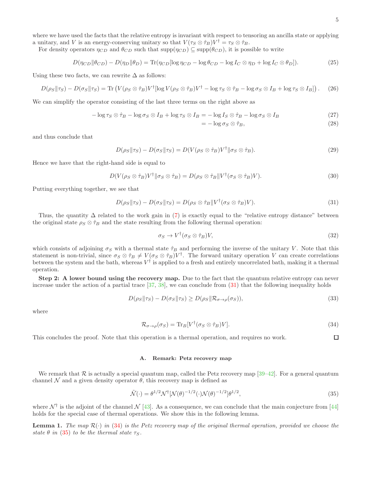<span id="page-6-1"></span> $\Box$ 

where we have used the facts that the relative entropy is invariant with respect to tensoring an ancilla state or applying a unitary, and V is an energy-conserving unitary so that  $V(\tau_S \otimes \hat{\tau}_B)V^{\dagger} = \tau_S \otimes \hat{\tau}_B$ .

For density operators  $\eta_{CD}$  and  $\theta_{CD}$  such that  $\text{supp}(\eta_{CD}) \subseteq \text{supp}(\theta_{CD})$ , it is possible to write

<span id="page-6-3"></span>
$$
D(\eta_{CD} \|\theta_{CD}) - D(\eta_D \|\theta_D) = \text{Tr}(\eta_{CD} [\log \eta_{CD} - \log \theta_{CD} - \log I_C \otimes \eta_D + \log I_C \otimes \theta_D]). \tag{25}
$$

Using these two facts, we can rewrite  $\Delta$  as follows:

$$
D(\rho_S || \tau_S) - D(\sigma_S || \tau_S) = \text{Tr}\left(V(\rho_S \otimes \hat{\tau}_B)V^{\dagger}[\log V(\rho_S \otimes \hat{\tau}_B)V^{\dagger} - \log \tau_S \otimes \hat{\tau}_B - \log \sigma_S \otimes I_B + \log \tau_S \otimes I_B]\right). \tag{26}
$$

We can simplify the operator consisting of the last three terms on the right above as

$$
-\log \tau_S \otimes \hat{\tau}_B - \log \sigma_S \otimes I_B + \log \tau_S \otimes I_B = -\log I_S \otimes \hat{\tau}_B - \log \sigma_S \otimes I_B \tag{27}
$$

$$
= -\log \sigma_S \otimes \hat{\tau}_B,\tag{28}
$$

and thus conclude that

$$
D(\rho_S || \tau_S) - D(\sigma_S || \tau_S) = D(V(\rho_S \otimes \hat{\tau}_B) V^{\dagger} || \sigma_S \otimes \hat{\tau}_B). \tag{29}
$$

Hence we have that the right-hand side is equal to

$$
D(V(\rho_S \otimes \hat{\tau}_B)V^{\dagger} \| \sigma_S \otimes \hat{\tau}_B) = D(\rho_S \otimes \hat{\tau}_B \| V^{\dagger}(\sigma_S \otimes \hat{\tau}_B)V). \tag{30}
$$

Putting everything together, we see that

<span id="page-6-0"></span>
$$
D(\rho_S || \tau_S) - D(\sigma_S || \tau_S) = D(\rho_S \otimes \hat{\tau}_B || V^\dagger (\sigma_S \otimes \hat{\tau}_B) V). \tag{31}
$$

Thus, the quantity  $\Delta$  related to the work gain in [\(7\)](#page-3-5) is exactly equal to the "relative entropy distance" between the original state  $\rho_S \otimes \hat{\tau}_B$  and the state resulting from the following thermal operation:

$$
\sigma_S \to V^{\dagger} (\sigma_S \otimes \hat{\tau}_B) V, \tag{32}
$$

which consists of adjoining  $\sigma_S$  with a thermal state  $\hat{\tau}_B$  and performing the inverse of the unitary V. Note that this statement is non-trivial, since  $\sigma_S \otimes \hat{\tau}_B \neq V(\sigma_S \otimes \hat{\tau}_B)V^{\dagger}$ . The forward unitary operation V can create correlations between the system and the bath, whereas  $V^{\dagger}$  is applied to a fresh and entirely uncorrelated bath, making it a thermal operation.

Step 2: A lower bound using the recovery map. Due to the fact that the quantum relative entropy can never increase under the action of a partial trace  $[37, 38]$  $[37, 38]$ , we can conclude from  $(31)$  that the following inequality holds

<span id="page-6-4"></span>
$$
D(\rho_S || \tau_S) - D(\sigma_S || \tau_S) \ge D(\rho_S || \mathcal{R}_{\sigma \to \rho}(\sigma_S)),
$$
\n(33)

where

$$
\mathcal{R}_{\sigma \to \rho}(\sigma_S) = \text{Tr}_B[V^{\dagger}(\sigma_S \otimes \hat{\tau}_B)V]. \tag{34}
$$

This concludes the proof. Note that this operation is a thermal operation, and requires no work.

#### A. Remark: Petz recovery map

We remark that  $R$  is actually a special quantum map, called the Petz recovery map [\[39](#page-14-23)[–42\]](#page-15-0). For a general quantum channel N and a given density operator  $\theta$ , this recovery map is defined as

<span id="page-6-2"></span>
$$
\tilde{\mathcal{N}}(\cdot) = \theta^{1/2} \mathcal{N}^{\dagger} [\mathcal{N}(\theta)^{-1/2} (\cdot) \mathcal{N}(\theta)^{-1/2}] \theta^{1/2},\tag{35}
$$

where  $\mathcal{N}^{\dagger}$  is the adjoint of the channel  $\mathcal{N}$  [\[43\]](#page-15-1). As a consequence, we can conclude that the main conjecture from [\[44](#page-15-2)] holds for the special case of thermal operations. We show this in the following lemma.

**Lemma 1.** The map  $\mathcal{R}(\cdot)$  in [\(34\)](#page-6-1) is the Petz recovery map of the original thermal operation, provided we choose the state  $\theta$  in [\(35\)](#page-6-2) to be the thermal state  $\tau_S$ .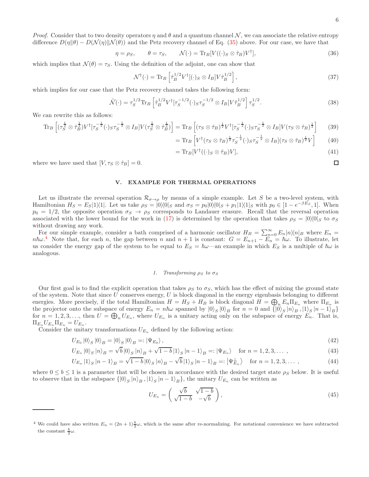$\Box$ 

*Proof.* Consider that to two density operators  $\eta$  and  $\theta$  and a quantum channel N, we can associate the relative entropy difference  $D(\eta||\theta) - D(\mathcal{N}(\eta)||\mathcal{N}(\theta))$  and the Petz recovery channel of Eq. [\(35\)](#page-6-2) above. For our case, we have that

$$
\eta = \rho_S, \qquad \theta = \tau_S, \qquad \mathcal{N}(\cdot) = \text{Tr}_B[V((\cdot)_S \otimes \hat{\tau}_B)V^\dagger], \tag{36}
$$

which implies that  $\mathcal{N}(\theta) = \tau_S$ . Using the definition of the adjoint, one can show that

$$
\mathcal{N}^{\dagger}(\cdot) = \text{Tr}_{B} \left[ \hat{\tau}_{B}^{1/2} V^{\dagger} [(\cdot]_{S} \otimes I_{B}] V \hat{\tau}_{B}^{1/2} \right], \tag{37}
$$

which implies for our case that the Petz recovery channel takes the following form:

$$
\tilde{\mathcal{N}}(\cdot) = \tau_S^{1/2} \text{Tr}_B \left[ \hat{\tau}_B^{1/2} V^{\dagger} [\tau_S^{-1/2} (\cdot)_{S} \tau_S^{-1/2} \otimes I_B] V \hat{\tau}_B^{1/2} \right] \tau_S^{1/2}.
$$
\n(38)

We can rewrite this as follows:

$$
\text{Tr}_B \left[ \left( \tau_S^{\frac{1}{2}} \otimes \hat{\tau}_B^{\frac{1}{2}} \right) V^{\dagger} \left[ \tau_S^{-\frac{1}{2}} (\cdot)_{S} \tau_S^{-\frac{1}{2}} \otimes I_B \right] V \left( \tau_S^{\frac{1}{2}} \otimes \hat{\tau}_B^{\frac{1}{2}} \right) \right] = \text{Tr}_B \left[ \left( \tau_S \otimes \hat{\tau}_B \right)^{\frac{1}{2}} V^{\dagger} \left[ \tau_S^{-\frac{1}{2}} (\cdot)_{S} \tau_S^{-\frac{1}{2}} \otimes I_B \right] V \left( \tau_S \otimes \hat{\tau}_B \right)^{\frac{1}{2}} \right] \tag{39}
$$

$$
= \text{Tr}_B \left[ V^\dagger (\tau_S \otimes \hat{\tau}_B)^{\frac{1}{2}} \tau_S^{-\frac{1}{2}} (\cdot)_{S} \tau_S^{-\frac{1}{2}} \otimes I_B ] (\tau_S \otimes \hat{\tau}_B)^{\frac{1}{2}} V \right] \tag{40}
$$

$$
= \text{Tr}_B[V^{\dagger}((\cdot)_S \otimes \hat{\tau}_B)V],\tag{41}
$$

where we have used that  $[V, \tau_S \otimes \hat{\tau}_B] = 0$ .

#### <span id="page-7-0"></span>V. EXAMPLE FOR THERMAL OPERATIONS

Let us illustrate the reversal operation  $\mathcal{R}_{\sigma\to\rho}$  by means of a simple example. Let S be a two-level system, with Hamiltonian  $H_S = E_S|1\rangle\langle 1|$ . Let us take  $\rho_S = |0\rangle\langle 0|_S$  and  $\sigma_S = p_0|0\rangle\langle 0|_S + p_1|1\rangle\langle 1|_S$  with  $p_0 \in [1 - e^{-\beta E_S}, 1]$ . When  $p_0 = 1/2$ , the opposite operation  $\sigma_S \to \rho_S$  corresponds to Landauer erasure. Recall that the reversal operation associated with the lower bound for the work in [\(17\)](#page-5-0) is determined by the operation that takes  $\rho_S = |0\rangle\langle 0|_S$  to  $\sigma_S$ without drawing any work.

For our simple example, consider a bath comprised of a harmonic oscillator  $H_B = \sum_{n=0}^{\infty} E_n |n\rangle\langle n|_B$  where  $E_n =$  $n\hbar\omega^4$  $n\hbar\omega^4$  Note that, for each n, the gap between n and  $n+1$  is constant:  $G = E_{n+1} - E_n = \hbar\omega$ . To illustrate, let us consider the energy gap of the system to be equal to  $E_S = \hbar \omega$ —an example in which  $E_S$  is a multiple of  $\hbar \omega$  is analogous.

#### *1. Transforming*  $\rho_S$  *to*  $\sigma_S$

Our first goal is to find the explicit operation that takes  $\rho_S$  to  $\sigma_S$ , which has the effect of mixing the ground state of the system. Note that since  $U$  conserves energy,  $U$  is block diagonal in the energy eigenbasis belonging to different energies. More precisely, if the total Hamiltonian  $H = H_S + H_B$  is block diagonal  $H = \bigoplus_n E_n \Pi_{E_n}$  where  $\Pi_{E_n}$  is the projector onto the subspace of energy  $E_n = n\hbar\omega$  spanned by  $|0\rangle_S |0\rangle_B$  for  $n = 0$  and  $\{ |0\rangle_S |n\rangle_B, |1\rangle_S |n-1\rangle_B\}$ for  $n = 1, 2, 3, \ldots$ , then  $U = \bigoplus_n U_{E_n}$ , where  $U_{E_n}$  is a unitary acting only on the subspace of energy  $E_n$ . That is,  $\Pi_{E_n} U_{E_n} \Pi_{E_n} = U_{E_n}.$ 

Consider the unitary transformations  $U_{E_n}$  defined by the following action:

$$
U_{E_0} |0\rangle_S |0\rangle_B = |0\rangle_S |0\rangle_B =: |\Psi_{E_0}\rangle, \qquad (42)
$$

$$
U_{E_n} |0\rangle_S |n\rangle_B = \sqrt{b} |0\rangle_S |n\rangle_B + \sqrt{1-b} |1\rangle_S |n-1\rangle_B =: |\Psi_{E_n}\rangle \quad \text{for } n = 1, 2, 3, \dots,
$$
\n(43)

$$
U_{E_n}|1\rangle_S |n-1\rangle_B = \sqrt{1-b}|0\rangle_S |n\rangle_B - \sqrt{b}|1\rangle_S |n-1\rangle_B =: |\Psi_{E_n}^{\perp}\rangle \quad \text{for } n = 1, 2, 3, \dots,
$$
 (44)

where  $0 \leq b \leq 1$  is a parameter that will be chosen in accordance with the desired target state  $\rho_S$  below. It is useful to observe that in the subspace  $\{\ket{0}_S \ket{n}_B, \ket{1}_S \ket{n-1}_B\}$ , the unitary  $U_{E_n}$  can be written as

$$
U_{E_n} = \begin{pmatrix} \sqrt{b} & \sqrt{1-b} \\ \sqrt{1-b} & -\sqrt{b} \end{pmatrix},\tag{45}
$$

<span id="page-7-1"></span><sup>&</sup>lt;sup>4</sup> We could have also written  $E_n = (2n+1)\frac{\hbar}{2}\omega$ , which is the same after re-normalizing. For notational convenience we have subtracted the constant  $\frac{\hbar}{2}\omega$ .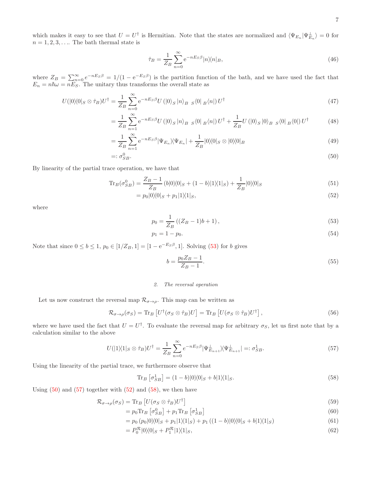which makes it easy to see that  $U = U^{\dagger}$  is Hermitian. Note that the states are normalized and  $\langle \Psi_{E_n} | \Psi_{E_n}^{\perp} \rangle = 0$  for  $n = 1, 2, 3, \ldots$  The bath thermal state is

$$
\hat{\tau}_B = \frac{1}{Z_B} \sum_{n=0}^{\infty} e^{-nE_S \beta} |n\rangle\langle n|_B,
$$
\n(46)

where  $Z_B = \sum_{n=0}^{\infty} e^{-nE_S\beta} = 1/(1 - e^{-E_S\beta})$  is the partition function of the bath, and we have used the fact that  $E_n = n\hbar\omega = nE_S$ . The unitary thus transforms the overall state as

$$
U(|0\rangle\langle 0|S \otimes \hat{\tau}_B)U^{\dagger} = \frac{1}{Z_B} \sum_{n=0}^{\infty} e^{-nE_S\beta} U(|0\rangle_S |n\rangle_B |S\rangle_S (0 |B\rangle_n)| U^{\dagger}
$$
\n
$$
(47)
$$

$$
= \frac{1}{Z_B} \sum_{n=1}^{\infty} e^{-nE_S \beta} U(|0\rangle_S |n\rangle_B |S\rangle_S |0| |B\rangle_n |0| U^{\dagger} + \frac{1}{Z_B} U(|0\rangle_S |0\rangle_B |S\rangle_S |0| |U^{\dagger}
$$
(48)

$$
=\frac{1}{Z_B}\sum_{n=1}^{\infty}e^{-nE_S\beta}|\Psi_{E_n}\rangle\langle\Psi_{E_n}|+\frac{1}{Z_B}|0\rangle\langle0|_S\otimes|0\rangle\langle0|_B\tag{49}
$$

$$
=: \sigma_{SB}^0. \tag{50}
$$

By linearity of the partial trace operation, we have that

$$
\text{Tr}_B(\sigma_{SB}^0) = \frac{Z_B - 1}{Z_B} (b|0\rangle\langle 0|_S + (1 - b)|1\rangle\langle 1|_S) + \frac{1}{Z_B} |0\rangle\langle 0|_S \tag{51}
$$

$$
=p_0|0\rangle\langle0|_S+p_1|1\rangle\langle1|_S,\tag{52}
$$

where

<span id="page-8-1"></span>
$$
p_0 = \frac{1}{Z_B} ((Z_B - 1)b + 1),
$$
\n(53)

$$
p_1 = 1 - p_0. \t\t(54)
$$

Note that since  $0 \le b \le 1$ ,  $p_0 \in [1/Z_B, 1] = [1 - e^{-E_S \beta}, 1]$ . Solving [\(53\)](#page-8-0) for b gives

<span id="page-8-3"></span><span id="page-8-2"></span><span id="page-8-0"></span>
$$
b = \frac{p_0 Z_B - 1}{Z_B - 1}.\tag{55}
$$

#### *2. The reversal operation*

Let us now construct the reversal map  $\mathcal{R}_{\sigma \to \rho}$ . This map can be written as

$$
\mathcal{R}_{\sigma \to \rho}(\sigma_S) = \text{Tr}_B \left[ U^\dagger (\sigma_S \otimes \hat{\tau}_B) U \right] = \text{Tr}_B \left[ U (\sigma_S \otimes \hat{\tau}_B) U^\dagger \right],\tag{56}
$$

where we have used the fact that  $U = U^{\dagger}$ . To evaluate the reversal map for arbitrary  $\sigma_S$ , let us first note that by a calculation similar to the above

$$
U(|1\rangle\langle 1|_{S}\otimes\hat{\tau}_{B})U^{\dagger} = \frac{1}{Z_{B}}\sum_{n=0}^{\infty}e^{-nE_{S}\beta}|\Psi_{E_{n+1}}^{\perp}\rangle\langle\Psi_{E_{n+1}}^{\perp}| =: \sigma_{SB}^{1}.
$$
\n(57)

Using the linearity of the partial trace, we furthermore observe that

<span id="page-8-4"></span>
$$
\text{Tr}_B \left[ \sigma_{SB}^1 \right] = (1 - b)|0\rangle\langle 0|_S + b|1\rangle\langle 1|_S. \tag{58}
$$

Using  $(50)$  and  $(57)$  together with  $(52)$  and  $(58)$ , we then have

$$
\mathcal{R}_{\sigma \to \rho}(\sigma_S) = \text{Tr}_B \left[ U(\sigma_S \otimes \hat{\tau}_B) U^{\dagger} \right] \tag{59}
$$

$$
=p_0 \text{Tr}_B \left[\sigma_{SB}^0\right] + p_1 \text{Tr}_B \left[\sigma_{SB}^1\right] \tag{60}
$$

$$
= p_0 (p_0 |0\rangle\langle 0|_S + p_1 |1\rangle\langle 1|_S) + p_1 ((1 - b)|0\rangle\langle 0|_S + b|1\rangle\langle 1|_S)
$$
\n(61)

$$
=P_0^{\mathcal{R}}|0\rangle\langle0|_S+P_1^{\mathcal{R}}|1\rangle\langle1|_S,\tag{62}
$$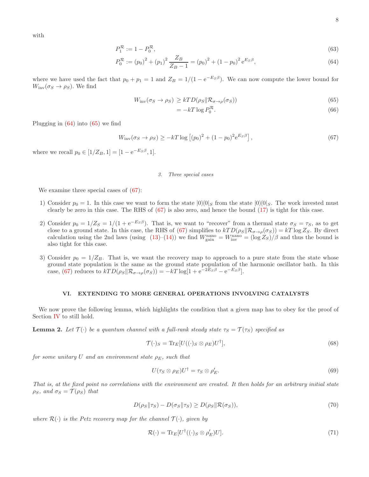with

$$
P_1^{\mathcal{R}} := 1 - P_0^{\mathcal{R}},\tag{63}
$$

$$
P_0^{\mathcal{R}} := (p_0)^2 + (p_1)^2 \frac{Z_B}{Z_B - 1} = (p_0)^2 + (1 - p_0)^2 e^{E_S \beta},\tag{64}
$$

where we have used the fact that  $p_0 + p_1 = 1$  and  $Z_B = 1/(1 - e^{-E_S \beta})$ . We can now compute the lower bound for  $W_{\text{inv}}(\sigma_S \to \rho_S)$ . We find

$$
W_{\text{inv}}(\sigma_S \to \rho_S) \geq kTD(\rho_S \|\mathcal{R}_{\sigma \to \rho}(\sigma_S))
$$
\n(65)

<span id="page-9-3"></span><span id="page-9-2"></span><span id="page-9-1"></span>
$$
= -kT \log P_0^{\mathcal{R}}.\tag{66}
$$

Plugging in  $(64)$  into  $(65)$  we find

$$
W_{\rm inv}(\sigma_S \to \rho_S) \ge -kT \log \left[ (p_0)^2 + (1 - p_0)^2 e^{E_S \beta} \right],\tag{67}
$$

where we recall  $p_0 \in [1/Z_B, 1] = [1 - e^{-E_S \beta}, 1].$ 

#### *3. Three special cases*

We examine three special cases of [\(67\)](#page-9-3):

- 1) Consider  $p_0 = 1$ . In this case we want to form the state  $|0\rangle\langle 0|_S$  from the state  $|0\rangle\langle 0|_S$ . The work invested must clearly be zero in this case. The RHS of [\(67\)](#page-9-3) is also zero, and hence the bound [\(17\)](#page-5-0) is tight for this case.
- 2) Consider  $p_0 = 1/Z_S = 1/(1 + e^{-E_S\beta})$ . That is, we want to "recover" from a thermal state  $\sigma_S = \tau_S$ , as to get close to a ground state. In this case, the RHS of [\(67\)](#page-9-3) simplifies to  $kTD(\rho_S||\mathcal{R}_{\sigma\to\rho}(\sigma_S)) = kT \log Z_S$ . By direct calculation using the 2nd laws (using  $(13)-(14)$  $(13)-(14)$ ) we find  $W<sub>gain</sub> <sup>nano</sup> = W<sub>inv</sub><sup>mono</sup> = (\log Z<sub>S</sub>)/\beta$  and thus the bound is also tight for this case.
- 3) Consider  $p_0 = 1/Z_B$ . That is, we want the recovery map to approach to a pure state from the state whose ground state population is the same as the ground state population of the harmonic oscillator bath. In this case, [\(67\)](#page-9-3) reduces to  $kTD(\rho_S||\mathcal{R}_{\sigma \to \rho}(\sigma_S)) = -kT \log[1 + e^{-2E_S\beta} - e^{-E_S\beta}].$

#### <span id="page-9-0"></span>VI. EXTENDING TO MORE GENERAL OPERATIONS INVOLVING CATALYSTS

We now prove the following lemma, which highlights the condition that a given map has to obey for the proof of Section [IV](#page-5-1) to still hold.

<span id="page-9-5"></span>**Lemma 2.** Let  $\mathcal{T}(\cdot)$  be a quantum channel with a full-rank steady state  $\tau_S = \mathcal{T}(\tau_S)$  specified as

$$
\mathcal{T}(\cdot)_S = \text{Tr}_E[U((\cdot)_S \otimes \rho_E)U^{\dagger}],\tag{68}
$$

for some unitary U and an environment state  $\rho_E$ , such that

<span id="page-9-4"></span>
$$
U(\tau_S \otimes \rho_E)U^{\dagger} = \tau_S \otimes \rho_E'.\tag{69}
$$

That is, at the fixed point no correlations with the environment are created. It then holds for an arbitrary initial state  $\rho_S$ , and  $\sigma_S = \mathcal{T}(\rho_S)$  that

$$
D(\rho_S || \tau_S) - D(\sigma_S || \tau_S) \ge D(\rho_S || \mathcal{R}(\sigma_S)),\tag{70}
$$

where  $\mathcal{R}(\cdot)$  is the Petz recovery map for the channel  $\mathcal{T}(\cdot)$ , given by

$$
\mathcal{R}(\cdot) = \text{Tr}_E[U^\dagger((\cdot)_S \otimes \rho_E')U].\tag{71}
$$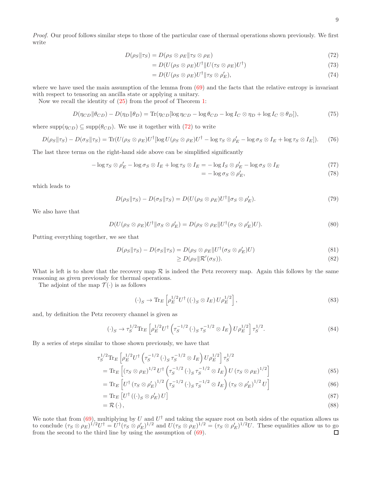Proof. Our proof follows similar steps to those of the particular case of thermal operations shown previously. We first write

$$
D(\rho_S || \tau_S) = D(\rho_S \otimes \rho_E || \tau_S \otimes \rho_E)
$$
\n(72)

$$
=D(U(\rho_S \otimes \rho_E)U^{\dagger}||U(\tau_S \otimes \rho_E)U^{\dagger})
$$
\n(73)

$$
=D(U(\rho_S \otimes \rho_E)U^{\dagger} \| \tau_S \otimes \rho_E'),\tag{74}
$$

where we have used the main assumption of the lemma from  $(69)$  and the facts that the relative entropy is invariant with respect to tensoring an ancilla state or applying a unitary.

Now we recall the identity of [\(25\)](#page-6-3) from the proof of Theorem [1:](#page-5-2)

$$
D(\eta_{CD} \|\theta_{CD}) - D(\eta_D \|\theta_D) = \text{Tr}(\eta_{CD} [\log \eta_{CD} - \log \theta_{CD} - \log I_C \otimes \eta_D + \log I_C \otimes \theta_D]),\tag{75}
$$

where  $\text{supp}(\eta_{CD}) \subseteq \text{supp}(\theta_{CD})$ . We use it together with [\(72\)](#page-10-0) to write

$$
D(\rho_S || \tau_S) - D(\sigma_S || \tau_S) = \text{Tr}(U(\rho_S \otimes \rho_E)U^{\dagger}[\log U(\rho_S \otimes \rho_E)U^{\dagger} - \log \tau_S \otimes \rho_E' - \log \sigma_S \otimes I_E + \log \tau_S \otimes I_E]).
$$
 (76)

The last three terms on the right-hand side above can be simplified significantly

$$
-\log \tau_S \otimes \rho'_E - \log \sigma_S \otimes I_E + \log \tau_S \otimes I_E = -\log I_S \otimes \rho'_E - \log \sigma_S \otimes I_E \tag{77}
$$

<span id="page-10-0"></span>
$$
= -\log \sigma_S \otimes \rho'_E,\tag{78}
$$

which leads to

$$
D(\rho_S || \tau_S) - D(\sigma_S || \tau_S) = D(U(\rho_S \otimes \rho_E)U^{\dagger} || \sigma_S \otimes \rho_E').
$$
\n(79)

We also have that

$$
D(U(\rho_S \otimes \rho_E)U^{\dagger} \| \sigma_S \otimes \rho_E') = D(\rho_S \otimes \rho_E \| U^{\dagger}(\sigma_S \otimes \rho_E')U). \tag{80}
$$

Putting everything together, we see that

$$
D(\rho_S || \tau_S) - D(\sigma_S || \tau_S) = D(\rho_S \otimes \rho_E || U^\dagger (\sigma_S \otimes \rho'_E) U)
$$
\n(81)

$$
\geq D(\rho_S \|\mathcal{R}'(\sigma_S)).\tag{82}
$$

What is left is to show that the recovery map  $R$  is indeed the Petz recovery map. Again this follows by the same reasoning as given previously for thermal operations.

The adjoint of the map  $\mathcal{T}(\cdot)$  is as follows

$$
(\cdot)_S \to \text{Tr}_E \left[ \rho_E^{1/2} U^\dagger \left( (\cdot)_S \otimes I_E \right) U \rho_E^{1/2} \right],\tag{83}
$$

and, by definition the Petz recovery channel is given as

$$
(\cdot)_S \to \tau_S^{1/2} \text{Tr}_E \left[ \rho_E^{1/2} U^{\dagger} \left( \tau_S^{-1/2} (\cdot)_S \tau_S^{-1/2} \otimes I_E \right) U \rho_E^{1/2} \right] \tau_S^{1/2}.
$$
 (84)

By a series of steps similar to those shown previously, we have that

$$
\tau_S^{1/2} \text{Tr}_E \left[ \rho_E^{1/2} U^{\dagger} \left( \tau_S^{-1/2} \left( \cdot \right)_S \tau_S^{-1/2} \otimes I_E \right) U \rho_E^{1/2} \right] \tau_S^{1/2} \n= \text{Tr}_E \left[ \left( \tau_S \otimes \rho_E \right)^{1/2} U^{\dagger} \left( \tau_S^{-1/2} \left( \cdot \right)_S \tau_S^{-1/2} \otimes I_E \right) U \left( \tau_S \otimes \rho_E \right)^{1/2} \right]
$$
\n(85)

$$
= \text{Tr}_{E} \left[ U^{\dagger} \left( \tau_{S} \otimes \rho_{E}' \right)^{1/2} \left( \tau_{S}^{-1/2} \left( \cdot \right)_{S} \tau_{S}^{-1/2} \otimes I_{E} \right) \left( \tau_{S} \otimes \rho_{E}' \right)^{1/2} U \right]
$$
(86)

$$
= \operatorname{Tr}_{E} \left[ U^{\dagger} \left( (\cdot \right)_{S} \otimes \rho_{E}' \right) U \right] \tag{87}
$$

$$
=\mathcal{R}\left(\cdot\right),\tag{88}
$$

We note that from [\(69\)](#page-9-4), multiplying by U and  $U^{\dagger}$  and taking the square root on both sides of the equation allows us to conclude  $(\tau_S \otimes \rho_E)^{1/2}U^{\dagger} = U^{\dagger}(\tau_S \otimes \rho_E')^{1/2}$  and  $U(\tau_S \otimes \rho_E')^{1/2} = (\tau_S \otimes \rho_E')^{1/2}U$ . These equalities allow us to go from the second to the third line by using the assumption of [\(69\)](#page-9-4). $\Box$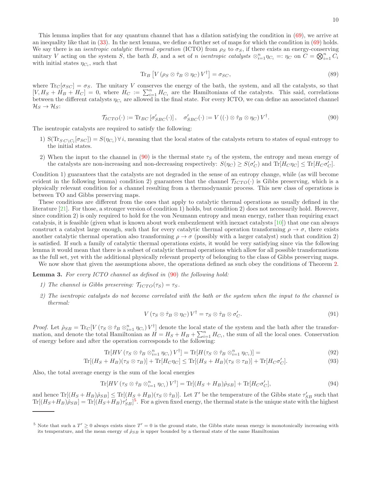This lemma implies that for any quantum channel that has a dilation satisfying the condition in [\(69\)](#page-9-4), we arrive at an inequality like that in [\(33\)](#page-6-4). In the next lemma, we define a further set of maps for which the condition in [\(69\)](#page-9-4) holds. We say there is an *isentropic catalytic thermal operation* (ICTO) from  $\rho_S$  to  $\sigma_S$ , if there exists an energy-conserving unitary V acting on the system S, the bath B, and a set of n isentropic catalysts  $\otimes_{i=1}^n \eta_{C_i} =: \eta_C$  on  $\widetilde{C} = \bigotimes_{i=1}^n \widetilde{C_i}$ with initial states  $\eta_{C_i}$ , such that

$$
\operatorname{Tr}_{B}\left[V\left(\rho_{S}\otimes\hat{\tau}_{B}\otimes\eta_{C}\right)V^{\dagger}\right]=\sigma_{SC},\tag{89}
$$

where  $\text{Tr}_{C}[\sigma_{SC}] = \sigma_{S}$ . The unitary V conserves the energy of the bath, the system, and all the catalysts, so that  $[V, H_S + H_B + H_C] = 0$ , where  $H_C := \sum_{i=1}^n H_{C_i}$  are the Hamiltonians of the catalysts. This said, correlations between the different catalysts  $\eta_{C_i}$  are allowed in the final state. For every ICTO, we can define an associated channel  $\mathcal{H}_S \rightarrow \mathcal{H}_S$ :

<span id="page-11-0"></span>
$$
\mathcal{T}_{ICTO}(\cdot) := \text{Tr}_{BC} \left[ \sigma'_{SBC}(\cdot) \right], \quad \sigma'_{SBC}(\cdot) := V \left( (\cdot) \otimes \hat{\tau}_B \otimes \eta_C \right) V^{\dagger}.
$$
\n
$$
(90)
$$

The isentropic catalysts are required to satisfy the following:

- 1)  $S(Tr_{SC\setminus C_l}[\sigma_{SC}] ) = S(\eta_{C_i}) \forall i$ , meaning that the local states of the catalysts return to states of equal entropy to the initial states.
- 2) When the input to the channel in [\(90\)](#page-11-0) is the thermal state  $\tau<sub>S</sub>$  of the system, the entropy and mean energy of the catalysts are non-increasing and non-decreasing respectively:  $S(\eta_C) \geq S(\sigma'_C)$  and  $\text{Tr}[H_C \eta_C] \leq \text{Tr}[H_C \sigma'_C]$ .

Condition 1) guarantees that the catalysts are not degraded in the sense of an entropy change, while (as will become evident in the following lemma) condition 2) guarantees that the channel  $T_{ICTO}(\cdot)$  is Gibbs preserving, which is a physically relevant condition for a channel resulting from a thermodynamic process. This new class of operations is between TO and Gibbs preserving maps.

These conditions are different from the ones that apply to catalytic thermal operations as usually defined in the literature [\[21\]](#page-14-5). For those, a stronger version of condition 1) holds, but condition 2) does not necessarily hold. However, since condition 2) is only required to hold for the von Neumann entropy and mean energy, rather than requiring exact catalysis, it is feasible (given what is known about work embezzlement with inexact catalysts [\[10](#page-14-1)]) that one can always construct a catalyst large enough, such that for every catalytic thermal operation transforming  $\rho \to \sigma$ , there exists another catalytic thermal operation also transforming  $\rho \to \sigma$  (possibly with a larger catalyst) such that condition 2) is satisfied. If such a family of catalytic thermal operations exists, it would be very satisfying since via the following lemma it would mean that there is a subset of catalytic thermal operations which allow for all possible transformations as the full set, yet with the additional physically relevant property of belonging to the class of Gibbs preserving maps.

We now show that given the assumptions above, the operations defined as such obey the conditions of Theorem [2.](#page-12-1)

<span id="page-11-3"></span>Lemma 3. For every ICTO channel as defined in [\(90\)](#page-11-0) the following hold:

- 1) The channel is Gibbs preserving:  $\mathcal{T}_{ICTO}(\tau_S) = \tau_S$ .
- 2) The isentropic catalysts do not become correlated with the bath or the system when the input to the channel is thermal:

<span id="page-11-2"></span>
$$
V(\tau_S \otimes \hat{\tau}_B \otimes \eta_C) V^{\dagger} = \tau_S \otimes \hat{\tau}_B \otimes \sigma'_C.
$$
\n(91)

Proof. Let  $\rho_{SB} = \text{Tr}_C[V(\tau_S \otimes \hat{\tau}_B \otimes_{i=1}^n \eta_{C_i}) V^{\dagger}]$  denote the local state of the system and the bath after the transformation, and denote the total Hamiltonian as  $H = H_S + H_B + \sum_{i=1}^n H_{C_i}$ , the sum of all the local ones. Conservation of energy before and after the operation corresponds to the following:

$$
\text{Tr}[HV\left(\tau_S\otimes\hat{\tau}_B\otimes_{i=1}^n\eta_{C_i}\right)V^\dagger] = \text{Tr}[H(\tau_S\otimes\hat{\tau}_B\otimes_{i=1}^n\eta_{C_i})] = \tag{92}
$$

$$
\text{Tr}[(H_S + H_B)(\tau_S \otimes \tau_B)] + \text{Tr}[H_C \eta_C] \le \text{Tr}[(H_S + H_B)(\tau_S \otimes \tau_B)] + \text{Tr}[H_C \sigma_C'].
$$
\n(93)

Also, the total average energy is the sum of the local energies

$$
\text{Tr}[HV\left(\tau_S\otimes\hat{\tau}_B\otimes_{i=1}^n\eta_{C_i}\right)V^\dagger] = \text{Tr}[(H_S + H_B)\hat{\rho}_{SB}] + \text{Tr}[H_C\sigma_C'],\tag{94}
$$

and hence  $\text{Tr}[(H_S + H_B)\hat{\rho}_{SB}] \leq \text{Tr}[(H_S + H_B)(\tau_S \otimes \hat{\tau}_B)].$  Let T' be the temperature of the Gibbs state  $\tau_{SB}$  such that  $Tr[(H_S+H_B)\hat{\rho}_{SB}] = Tr[(H_S+H_B)\tau'_{SB}]^5$  $Tr[(H_S+H_B)\hat{\rho}_{SB}] = Tr[(H_S+H_B)\tau'_{SB}]^5$ . For a given fixed energy, the thermal state is the unique state with the highest

<span id="page-11-1"></span><sup>&</sup>lt;sup>5</sup> Note that such a  $T' \ge 0$  always exists since  $T' = 0$  is the ground state, the Gibbs state mean energy is monotonically increasing with its temperature, and the mean energy of  $\hat{\rho}_{SB}$  is upper bounded by a thermal state of the same Hamiltonian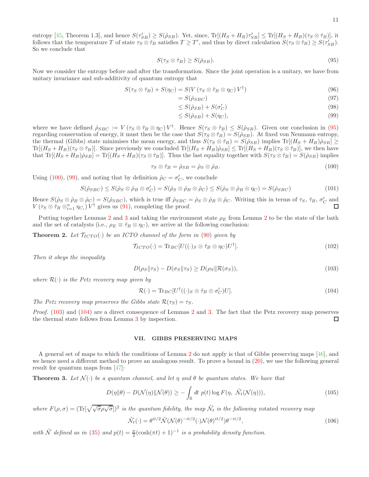entropy [\[45,](#page-15-3) Theorem 1.3], and hence  $S(\tau_{SB}') \geq S(\hat{\rho}_{SB})$ . Yet, since,  $\text{Tr}[(H_S + H_B)\tau_{SB}'] \leq \text{Tr}[(H_S + H_B)(\tau_S \otimes \hat{\tau}_B)]$ , it follows that the temperature T of state  $\tau_S \otimes \hat{\tau}_B$  satisfies  $T \geq T'$ , and thus by direct calculation  $S(\tau_S \otimes \hat{\tau}_B) \geq S(\tau'_{SB})$ . So we conclude that

<span id="page-12-2"></span>
$$
S(\tau_S \otimes \hat{\tau}_B) \ge S(\hat{\rho}_{SB}).\tag{95}
$$

Now we consider the entropy before and after the transformation. Since the joint operation is a unitary, we have from unitary invariance and sub-additivity of quantum entropy that

$$
S(\tau_S \otimes \hat{\tau}_B) + S(\eta_C) = S(V(\tau_S \otimes \hat{\tau}_B \otimes \eta_C)V^{\dagger})
$$
\n(96)

$$
=S(\hat{\rho}_{SBC})\tag{97}
$$

<span id="page-12-4"></span>
$$
\leq S(\hat{\rho}_{SB}) + S(\sigma_C') \tag{98}
$$

$$
\leq S(\hat{\rho}_{SB}) + S(\eta_C),\tag{99}
$$

where we have defined  $\rho_{SBC} := V(\tau_S \otimes \hat{\tau}_B \otimes \eta_C) V^{\dagger}$ . Hence  $S(\tau_S \otimes \hat{\tau}_B) \leq S(\hat{\rho}_{SB})$ . Given our conclusion in [\(95\)](#page-12-2) regarding conservation of energy, it must then be the case that  $S(\tau_S \otimes \hat{\tau}_B) = S(\hat{\rho}_{SB})$ . At fixed von Neumann entropy, the thermal (Gibbs) state minimises the mean energy, and thus  $S(\tau_S \otimes \hat{\tau}_B) = S(\hat{\rho}_{SB})$  implies  $\text{Tr}[(H_S + H_B)\hat{\rho}_{SB}] \ge$  $\text{Tr}[(H_S + H_B)(\tau_S \otimes \hat{\tau}_B)]$ . Since previously we concluded  $\text{Tr}[(H_S + H_B)\hat{\rho}_{SB}] \leq \text{Tr}[(H_S + H_B)(\tau_S \otimes \hat{\tau}_B)]$ , we then have that  $\text{Tr}[(H_S + H_B)\hat{\rho}_{SB}] = \text{Tr}[(H_S + H_B)(\tau_S \otimes \hat{\tau}_B)].$  Thus the last equality together with  $S(\tau_S \otimes \hat{\tau}_B) = S(\hat{\rho}_{SB})$  implies

<span id="page-12-3"></span>
$$
\tau_S \otimes \hat{\tau}_B = \hat{\rho}_{SB} = \hat{\rho}_S \otimes \hat{\rho}_B. \tag{100}
$$

Using [\(100\)](#page-12-3), [\(99\)](#page-12-4), and noting that by definition  $\hat{\rho}_C = \sigma'_C$ , we conclude

$$
S(\hat{\rho}_{SBC}) \le S(\hat{\rho}_S \otimes \hat{\rho}_B \otimes \sigma'_C) = S(\hat{\rho}_S \otimes \hat{\rho}_B \otimes \hat{\rho}_C) \le S(\hat{\rho}_S \otimes \hat{\rho}_B \otimes \eta_C) = S(\hat{\rho}_{SBC})
$$
(101)

Hence  $S(\hat{\rho}_S \otimes \hat{\rho}_B \otimes \hat{\rho}_C) = S(\hat{\rho}_{SBC})$ , which is true iff  $\hat{\rho}_{SBC} = \hat{\rho}_S \otimes \hat{\rho}_B \otimes \hat{\rho}_C$ . Writing this in terms of  $\tau_S$ ,  $\hat{\tau}_B$ ,  $\sigma'_C$  and  $V(\tau_S \otimes \hat{\tau}_B \otimes_{i=1}^n \eta_{C_i}) V^{\dagger}$  gives us [\(91\)](#page-11-2), completing the proof.

Putting together Lemmas [2](#page-9-5) and [3](#page-11-3) and taking the environment state  $\rho_E$  from Lemma 2 to be the state of the bath and the set of catalysts (i.e.,  $\rho_E \equiv \hat{\tau}_B \otimes \eta_C$ ), we arrive at the following conclusion:

<span id="page-12-1"></span>**Theorem 2.** Let  $\mathcal{T}_{ICTO}(\cdot)$  be an ICTO channel of the form in [\(90\)](#page-11-0) given by

$$
\mathcal{T}_{ICTO}(\cdot) = \text{Tr}_{BC}[U((\cdot)_S \otimes \hat{\tau}_B \otimes \eta_C)U^{\dagger}]. \tag{102}
$$

Then it obeys the inequality

<span id="page-12-5"></span>
$$
D(\rho_S || \tau_S) - D(\sigma_S || \tau_S) \ge D(\rho_S || \mathcal{R}(\sigma_S)), \tag{103}
$$

where  $\mathcal{R}(\cdot)$  is the Petz recovery map given by

<span id="page-12-6"></span>
$$
\mathcal{R}(\cdot) = \text{Tr}_{BC}[U^{\dagger}((\cdot)_{S} \otimes \hat{\tau}_{B} \otimes \sigma'_{C})U]. \tag{104}
$$

The Petz recovery map preserves the Gibbs state  $\mathcal{R}(\tau_S) = \tau_S$ .

Proof. [\(103\)](#page-12-5) and [\(104\)](#page-12-6) are a direct consequence of Lemmas [2](#page-9-5) and [3.](#page-11-3) The fact that the Petz recovery map preserves the thermal state follows from Lemma [3](#page-11-3) by inspection. □

#### <span id="page-12-0"></span>VII. GIBBS PRESERVING MAPS

A general set of maps to which the conditions of Lemma [2](#page-9-5) do not apply is that of Gibbs preserving maps [\[46](#page-15-4)], and we hence need a different method to prove an analogous result. To prove a bound in  $(20)$ , we use the following general result for quantum maps from [\[47](#page-15-5)]:

**Theorem 3.** Let  $\mathcal{N}(\cdot)$  be a quantum channel, and let  $\eta$  and  $\theta$  be quantum states. We have that

$$
D(\eta || \theta) - D(\mathcal{N}(\eta) || \mathcal{N}(\theta)) \ge -\int_{\mathbb{R}} dt \, p(t) \log F(\eta, \tilde{\mathcal{N}}_t(\mathcal{N}(\eta))), \tag{105}
$$

where  $F(\rho, \sigma) = (\text{Tr}[\sqrt{\sqrt{\sigma}\rho\sqrt{\sigma}}])^2$  is the quantum fidelity, the map  $\tilde{\mathcal{N}}_t$  is the following rotated recovery map

$$
\tilde{\mathcal{N}}_t(\cdot) = \theta^{it/2} \tilde{\mathcal{N}}(\mathcal{N}(\theta)^{-it/2}(\cdot) \mathcal{N}(\theta)^{it/2}) \theta^{-it/2},\tag{106}
$$

with  $\tilde{\mathcal{N}}$  defined as in [\(35\)](#page-6-2) and  $p(t) = \frac{\pi}{2}(\cosh(\pi t) + 1)^{-1}$  is a probability density function.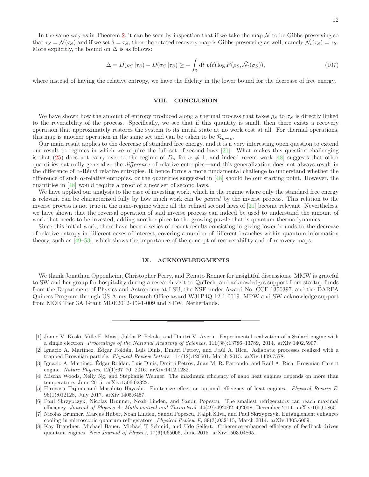In the same way as in Theorem [2,](#page-12-1) it can be seen by inspection that if we take the map  $\mathcal N$  to be Gibbs-preserving so that  $\tau_S = \mathcal{N}(\tau_S)$  and if we set  $\theta = \tau_S$ , then the rotated recovery map is Gibbs-preserving as well, namely  $\tilde{\mathcal{N}}_t(\tau_S) = \tau_S$ . More explicitly, the bound on  $\Delta$  is as follows:

$$
\Delta = D(\rho_S || \tau_S) - D(\sigma_S || \tau_S) \ge -\int_{\mathbb{R}} dt \ p(t) \log F(\rho_S, \tilde{\mathcal{N}}_t(\sigma_S)),\tag{107}
$$

where instead of having the relative entropy, we have the fidelity in the lower bound for the decrease of free energy.

#### VIII. CONCLUSION

We have shown how the amount of entropy produced along a thermal process that takes  $\rho_S$  to  $\sigma_S$  is directly linked to the reversibility of the process. Specifically, we see that if this quantity is small, then there exists a recovery operation that approximately restores the system to its initial state at no work cost at all. For thermal operations, this map is another operation in the same set and can be taken to be  $\mathcal{R}_{\sigma \to \rho}$ .

Our main result applies to the decrease of standard free energy, and it is a very interesting open question to extend our result to regimes in which we require the full set of second laws [\[21](#page-14-5)]. What makes this question challenging is that [\(25\)](#page-6-3) does not carry over to the regime of  $D_{\alpha}$  for  $\alpha \neq 1$ , and indeed recent work [\[48\]](#page-15-6) suggests that other quantities naturally generalize the difference of relative entropies—and this generalization does not always result in the difference of  $\alpha$ -Rényi relative entropies. It hence forms a more fundamental challenge to understand whether the difference of such α-relative entropies, or the quantities suggested in [\[48\]](#page-15-6) should be our starting point. However, the quantities in [\[48](#page-15-6)] would require a proof of a new set of second laws.

We have applied our analysis to the case of investing work, which in the regime where only the standard free energy is relevant can be characterized fully by how much work can be gained by the inverse process. This relation to the inverse process is not true in the nano-regime where all the refined second laws of [\[21\]](#page-14-5) become relevant. Nevertheless, we have shown that the reversal operation of said inverse process can indeed be used to understand the amount of work that needs to be invested, adding another piece to the growing puzzle that is quantum thermodynamics.

Since this initial work, there have been a series of recent results consisting in giving lower bounds to the decrease of relative entropy in different cases of interest, covering a number of different branches within quantum information theory, such as [\[49](#page-15-7)[–53\]](#page-15-8), which shows the importance of the concept of recoverability and of recovery maps.

#### IX. ACKNOWLEDGMENTS

We thank Jonathan Oppenheim, Christopher Perry, and Renato Renner for insightful discussions. MMW is grateful to SW and her group for hospitality during a research visit to QuTech, and acknowledges support from startup funds from the Department of Physics and Astronomy at LSU, the NSF under Award No. CCF-1350397, and the DARPA Quiness Program through US Army Research Office award W31P4Q-12-1-0019. MPW and SW acknowledge support from MOE Tier 3A Grant MOE2012-T3-1-009 and STW, Netherlands.

<span id="page-13-0"></span><sup>[1]</sup> Jonne V. Koski, Ville F. Maisi, Jukka P. Pekola, and Dmitri V. Averin. Experimental realization of a Szilard engine with a single electron. *Proceedings of the National Academy of Sciences*, 111(38):13786–13789, 2014. arXiv:1402.5907.

<sup>[2]</sup> Ignacio A. Martínez, Édgar Roldán, Luis Dinis, Dmitri Petrov, and Raúl A. Rica. Adiabatic processes realized with a trapped Brownian particle. *Physical Review Letters*, 114(12):120601, March 2015. arXiv:1409.7578.

<span id="page-13-1"></span><sup>[3]</sup> Ignacio A. Martínez, Édgar Roldán, Luis Dinis, Dmitri Petrov, Juan M. R. Parrondo, and Raúl A. Rica. Brownian Carnot engine. *Nature Physics*, 12(1):67–70, 2016. arXiv:1412.1282.

<span id="page-13-2"></span><sup>[4]</sup> Mischa Woods, Nelly Ng, and Stephanie Wehner. The maximum efficiency of nano heat engines depends on more than temperature. June 2015. arXiv:1506.02322.

<sup>[5]</sup> Hiroyasu Tajima and Masahito Hayashi. Finite-size effect on optimal efficiency of heat engines. *Physical Review E*, 96(1):012128, July 2017. arXiv:1405.6457.

<sup>[6]</sup> Paul Skrzypczyk, Nicolas Brunner, Noah Linden, and Sandu Popescu. The smallest refrigerators can reach maximal efficiency. *Journal of Physics A: Mathematical and Theoretical*, 44(49):492002–492008, December 2011. arXiv:1009.0865.

<sup>[7]</sup> Nicolas Brunner, Marcus Huber, Noah Linden, Sandu Popescu, Ralph Silva, and Paul Skrzypczyk. Entanglement enhances cooling in microscopic quantum refrigerators. *Physical Review E*, 89(3):032115, March 2014. arXiv:1305.6009.

<sup>[8]</sup> Kay Brandner, Michael Bauer, Michael T Schmid, and Udo Seifert. Coherence-enhanced efficiency of feedback-driven quantum engines. *New Journal of Physics*, 17(6):065006, June 2015. arXiv:1503.04865.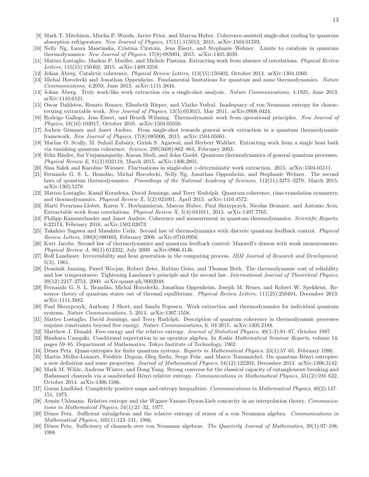- <span id="page-14-0"></span>[9] Mark T. Mitchison, Mischa P. Woods, Javier Prior, and Marcus Huber. Coherence-assisted single-shot cooling by quantum absorption refrigerators. *New Journal of Physics*, 17(11):115013, 2015. arXiv:1504.01593.
- <span id="page-14-1"></span>[10] Nelly Ng, Laura Manˇcinska, Cristina Cirstoiu, Jens Eisert, and Stephanie Wehner. Limits to catalysis in quantum thermodynamics. *New Journal of Physics*, 17(8):085004, 2015. arXiv:1405.3039.
- <span id="page-14-14"></span>[11] Matteo Lostaglio, Markus P. Mueller, and Michele Pastena. Extracting work from absence of correlations. *Physical Review Letters*, 115(15):150402, 2015. arXiv:1409.3258.
- <span id="page-14-2"></span>[12] Johan ˚Aberg. Catalytic coherence. *Physical Review Letters*, 113(15):150402, October 2014. arXiv:1304.1060.
- <span id="page-14-3"></span>[13] Michal Horodecki and Jonathan Oppenheim. Fundamental limitations for quantum and nano thermodynamics. *Nature Communications*, 4:2059, June 2013. arXiv:1111.3834.
- [14] Johan ˚Aberg. Truly work-like work extraction via a single-shot analysis. *Nature Communications*, 4:1925, June 2013. arXiv:1110.6121.
- [15] Oscar Dahlsten, Renato Renner, Elisabeth Rieper, and Vlatko Vedral. Inadequacy of von Neumann entropy for characterizing extractable work. *New Journal of Physics*, 13(5):053015, May 2011. arXiv:0908.0424.
- [16] Rodrigo Gallego, Jens Eisert, and Henrik Wilming. Thermodynamic work from operational principles. *New Journal of Physics*, 18(10):103017, October 2016. arXiv:1504.05056.
- [17] Jochen Gemmer and Janet Anders. From single-shot towards general work extraction in a quantum thermodynamic framework. *New Journal of Physics*, 17(8):085006, 2015. arXiv:1504.05061.
- [18] Marlan O. Scully, M. Suhail Zubairy, Girish S. Agarwal, and Herbert Walther. Extracting work from a single heat bath via vanishing quantum coherence. *Science*, 299(5608):862–864, February 2003.
- [19] Felix Binder, Sai Vinjanampathy, Kavan Modi, and John Goold. Quantum thermodynamics of general quantum processes. *Physical Review E*, 91(3):032119, March 2015. arXiv:1406.2801.
- <span id="page-14-4"></span>[20] Sina Salek and Karoline Wiesner. Fluctuations in single-shot ε-deterministic work extraction. 2015. arXiv:1504.05111.
- <span id="page-14-5"></span>[21] Fernando G. S. L. Brandão, Michal Horodecki, Nelly Ng, Jonathan Oppenheim, and Stephanie Wehner. The second laws of quantum thermodynamics. *Proceedings of the National Academy of Sciences*, 112(11):3275–3279, March 2015. arXiv:1305.5278.
- <span id="page-14-6"></span>[22] Matteo Lostaglio, Kamil Korzekwa, David Jennings, and Terry Rudolph. Quantum coherence, time-translation symmetry, and thermodynamics. *Physical Review X*, 5(2):021001, April 2015. arXiv:1410.4572.
- <span id="page-14-7"></span>[23] Marti Perarnau-Llobet, Karen V. Hovhannisyan, Marcus Huber, Paul Skrzypczyk, Nicolas Brunner, and Antonio Acin. Extractable work from correlations. *Physical Review X*, 5(4):041011, 2015. arXiv:1407.7765.
- <span id="page-14-8"></span>[24] Philipp Kammerlander and Janet Anders. Coherence and measurement in quantum thermodynamics. *Scientific Reports*, 6:22174, February 2016. arXiv:1502.02673.
- [25] Takahiro Sagawa and Masahito Ueda. Second law of thermodynamics with discrete quantum feedback control. *Physical Review Letters*, 100(8):080403, February 2008. arXiv:0710.0956.
- <span id="page-14-9"></span>[26] Kurt Jacobs. Second law of thermodynamics and quantum feedback control: Maxwell's demon with weak measurements. *Physical Review A*, 80(1):012322, July 2009. arXiv:0906.4146.
- <span id="page-14-10"></span>[27] Rolf Landauer. Irreversibility and heat generation in the computing process. *IBM Journal of Research and Development*, 5(3), 1961.
- <span id="page-14-11"></span>[28] Dominik Janzing, Pawel Wocjan, Robert Zeier, Rubino Geiss, and Thomas Beth. The thermodynamic cost of reliability and low temperatures: Tightening Landauer's principle and the second law. *International Journal of Theoretical Physics*, 39(12):2217–2753, 2000. arXiv:quant-ph/0002048.
- <span id="page-14-12"></span>[29] Fernando G. S. L. Brandão, Michal Horodecki, Jonathan Oppenheim, Joseph M. Renes, and Robert W. Spekkens. Resource theory of quantum states out of thermal equilibrium. *Physical Review Letters*, 111(25):250404, December 2013. arXiv:1111.3882.
- <span id="page-14-13"></span>[30] Paul Skrzypczyk, Anthony J Short, and Sandu Popescu. Work extraction and thermodynamics for individual quantum systems. *Nature Communications*, 5, 2014. arXiv:1307.1558.
- <span id="page-14-15"></span>[31] Matteo Lostaglio, David Jennings, and Terry Rudolph. Description of quantum coherence in thermodynamic processes requires constraints beyond free energy. *Nature Communications*, 6, 03 2015. arXiv:1405.2188.
- <span id="page-14-16"></span>[32] Matthew J. Donald. Free energy and the relative entropy. *Journal of Statistical Physics*, 49(1-2):81–87, October 1987.
- <span id="page-14-17"></span>[33] Hisaharu Umegaki. Conditional expectation in an operator algebra. In *Kodai Mathematical Seminar Reports*, volume 14, pages 59–85. Department of Mathematics, Tokyo Institute of Technology, 1962.
- <span id="page-14-18"></span>[34] Dénes Petz. Quasi-entropies for finite quantum systems. *Reports in Mathematical Physics*, 23(1):57–65, February 1986.
- <span id="page-14-19"></span>[35] Martin Müller-Lennert, Frédéric Dupuis, Oleg Szehr, Serge Fehr, and Marco Tomamichel. On quantum Rényi entropies: a new definition and some properties. *Journal of Mathematical Physics*, 54(12):122203, December 2013. arXiv:1306.3142.
- <span id="page-14-20"></span>[36] Mark M. Wilde, Andreas Winter, and Dong Yang. Strong converse for the classical capacity of entanglement-breaking and Hadamard channels via a sandwiched R´enyi relative entropy. *Communications in Mathematical Physics*, 331(2):593–622, October 2014. arXiv:1306.1586.
- <span id="page-14-21"></span>[37] Goran Lindblad. Completely positive maps and entropy inequalities. *Communications in Mathematical Physics*, 40(2):147– 151, 1975.
- <span id="page-14-22"></span>[38] Armin Uhlmann. Relative entropy and the Wigner-Yanase-Dyson-Lieb concavity in an interpolation theory. *Communications in Mathematical Physics*, 54(1):21–32, 1977.
- <span id="page-14-23"></span>[39] Dénes Petz. Sufficient subalgebras and the relative entropy of states of a von Neumann algebra. *Communications in Mathematical Physics*, 105(1):123–131, 1986.
- [40] Dénes Petz. Sufficiency of channels over von Neumann algebras. *The Quarterly Journal of Mathematics*, 39(1):97–108, 1988.